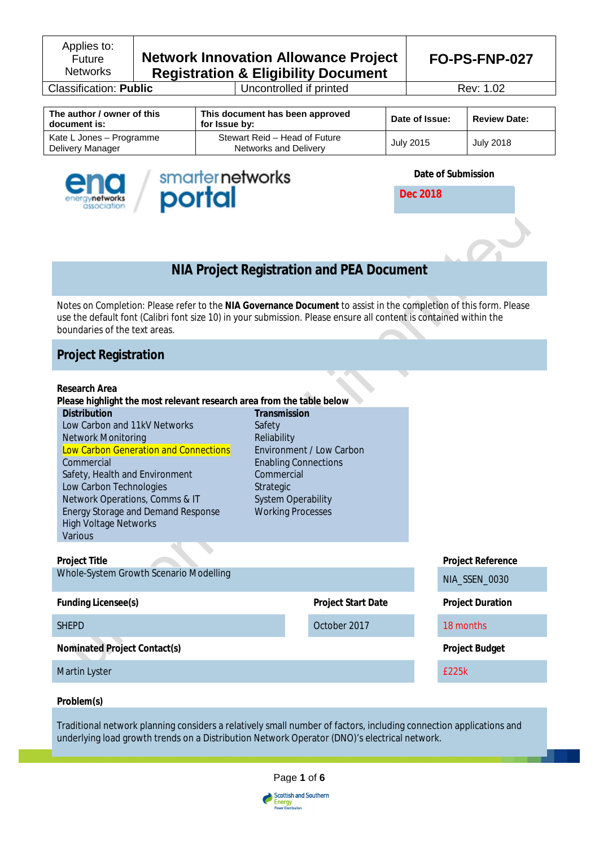Applies to: Future **Networks** 

# **Network Innovation Allowance Project Registration & Eligibility Document**

**Classification: Public** Uncontrolled if printed Rev: 1.02

**FO-PS-FNP-027**

| The author / owner of this<br>document is:   | This document has been approved<br>for Issue by:       | Date of Issue: | <b>Review Date:</b> |
|----------------------------------------------|--------------------------------------------------------|----------------|---------------------|
| Kate L Jones – Programme<br>Delivery Manager | Stewart Reid - Head of Future<br>Networks and Delivery | July 2015      | <b>July 2018</b>    |





**Date of Submission**

**Dec 2018**



*Notes on Completion:* Please refer to the **NIA Governance Document** to assist in the completion of this form. Please use the default font (Calibri font size 10) in your submission. Please ensure all content is contained within the boundaries of the text areas.

# **Project Registration**

| Research Area                                                         |                                                                       |                           |                          |
|-----------------------------------------------------------------------|-----------------------------------------------------------------------|---------------------------|--------------------------|
| Please highlight the most relevant research area from the table below |                                                                       |                           |                          |
| <b>Distribution</b>                                                   | Transmission                                                          |                           |                          |
| Low Carbon and 11kV Networks                                          | Safety                                                                |                           |                          |
| Network Monitoring                                                    | Reliability                                                           |                           |                          |
| Low Carbon Generation and Connections                                 | Environment / Low Carbon<br><b>Enabling Connections</b><br>Commercial |                           |                          |
| Commercial                                                            |                                                                       |                           |                          |
| Safety, Health and Environment                                        |                                                                       |                           |                          |
| Low Carbon Technologies                                               | Strategic                                                             |                           |                          |
| Network Operations, Comms & IT                                        | <b>System Operability</b>                                             |                           |                          |
| <b>Energy Storage and Demand Response</b>                             | <b>Working Processes</b>                                              |                           |                          |
| <b>High Voltage Networks</b>                                          |                                                                       |                           |                          |
| Various                                                               |                                                                       |                           |                          |
|                                                                       |                                                                       |                           |                          |
| <b>Project Title</b>                                                  |                                                                       |                           | <b>Project Reference</b> |
| Whole-System Growth Scenario Modelling                                |                                                                       |                           | NIA_SSEN_0030            |
|                                                                       |                                                                       |                           |                          |
| <b>Funding Licensee(s)</b>                                            |                                                                       | <b>Project Start Date</b> | <b>Project Duration</b>  |
| <b>SHEPD</b>                                                          |                                                                       | October 2017              | 18 months                |
| Nominated Project Contact(s)                                          |                                                                       |                           | <b>Project Budget</b>    |
| Martin Lyster                                                         |                                                                       |                           | £225k                    |
|                                                                       |                                                                       |                           |                          |

# **Problem(s)**

Traditional network planning considers a relatively small number of factors, including connection applications and underlying load growth trends on a Distribution Network Operator (DNO)'s electrical network.

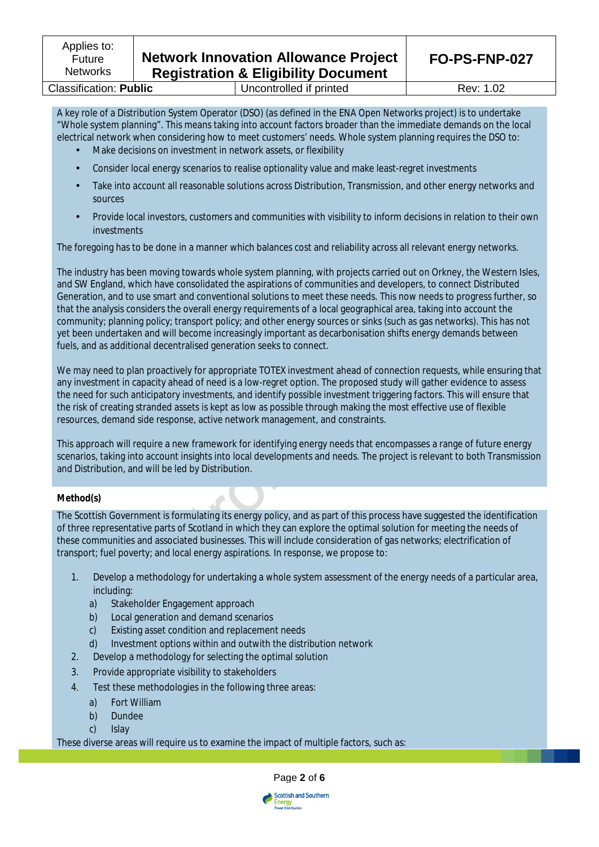**Classification: Public Classification: Public** Uncontrolled if printed Rev: 1.02

A key role of a Distribution System Operator (DSO) (as defined in the ENA Open Networks project) is to undertake "Whole system planning". This means taking into account factors broader than the immediate demands on the local electrical network when considering how to meet customers' needs. Whole system planning requires the DSO to:

- Make decisions on investment in network assets, or flexibility
- Consider local energy scenarios to realise optionality value and make least-regret investments
- Take into account all reasonable solutions across Distribution, Transmission, and other energy networks and sources
- Provide local investors, customers and communities with visibility to inform decisions in relation to their own investments

The foregoing has to be done in a manner which balances cost and reliability across all relevant energy networks.

The industry has been moving towards whole system planning, with projects carried out on Orkney, the Western Isles, and SW England, which have consolidated the aspirations of communities and developers, to connect Distributed Generation, and to use smart and conventional solutions to meet these needs. This now needs to progress further, so that the analysis considers the overall energy requirements of a local geographical area, taking into account the community; planning policy; transport policy; and other energy sources or sinks (such as gas networks). This has not yet been undertaken and will become increasingly important as decarbonisation shifts energy demands between fuels, and as additional decentralised generation seeks to connect.

We may need to plan proactively for appropriate TOTEX investment ahead of connection requests, while ensuring that any investment in capacity ahead of need is a low-regret option. The proposed study will gather evidence to assess the need for such anticipatory investments, and identify possible investment triggering factors. This will ensure that the risk of creating stranded assets is kept as low as possible through making the most effective use of flexible resources, demand side response, active network management, and constraints.

This approach will require a new framework for identifying energy needs that encompasses a range of future energy scenarios, taking into account insights into local developments and needs. The project is relevant to both Transmission and Distribution, and will be led by Distribution.

# **Method(s)**

The Scottish Government is formulating its energy policy, and as part of this process have suggested the identification of three representative parts of Scotland in which they can explore the optimal solution for meeting the needs of these communities and associated businesses. This will include consideration of gas networks; electrification of transport; fuel poverty; and local energy aspirations. In response, we propose to:

- 1. Develop a methodology for undertaking a whole system assessment of the energy needs of a particular area, including:
	- a) Stakeholder Engagement approach
	- b) Local generation and demand scenarios
	- c) Existing asset condition and replacement needs
	- d) Investment options within and outwith the distribution network
- 2. Develop a methodology for selecting the optimal solution
- 3. Provide appropriate visibility to stakeholders
- 4. Test these methodologies in the following three areas:
	- a) Fort William
	- b) Dundee
	- c) Islay

These diverse areas will require us to examine the impact of multiple factors, such as:



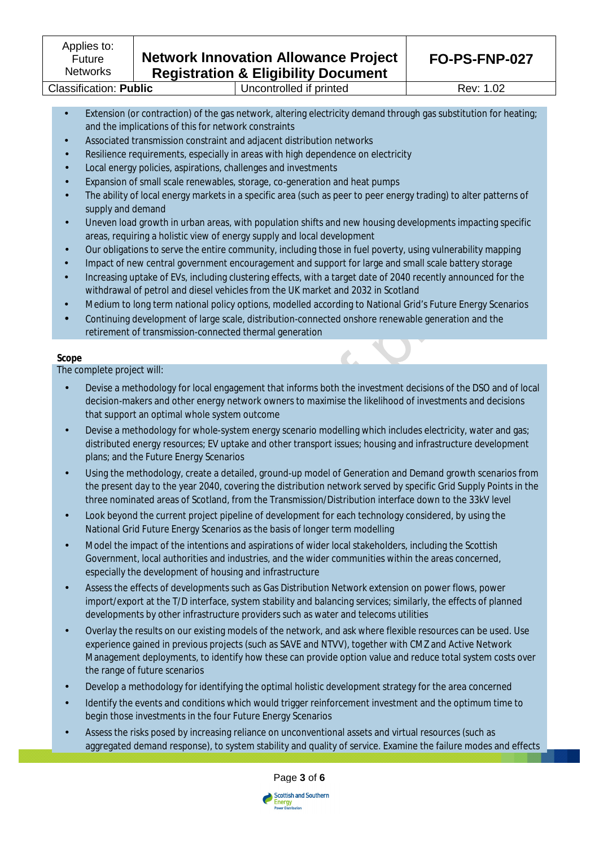- Extension (or contraction) of the gas network, altering electricity demand through gas substitution for heating; and the implications of this for network constraints
- Associated transmission constraint and adjacent distribution networks
- Resilience requirements, especially in areas with high dependence on electricity
- Local energy policies, aspirations, challenges and investments
- Expansion of small scale renewables, storage, co-generation and heat pumps
- The ability of local energy markets in a specific area (such as peer to peer energy trading) to alter patterns of supply and demand
- Uneven load growth in urban areas, with population shifts and new housing developments impacting specific areas, requiring a holistic view of energy supply and local development
- Our obligations to serve the entire community, including those in fuel poverty, using vulnerability mapping
- Impact of new central government encouragement and support for large and small scale battery storage
- Increasing uptake of EVs, including clustering effects, with a target date of 2040 recently announced for the withdrawal of petrol and diesel vehicles from the UK market and 2032 in Scotland
- Medium to long term national policy options, modelled according to National Grid's Future Energy Scenarios
- Continuing development of large scale, distribution-connected onshore renewable generation and the retirement of transmission-connected thermal generation

# **Scope**

The complete project will:

- Devise a methodology for local engagement that informs both the investment decisions of the DSO and of local decision-makers and other energy network owners to maximise the likelihood of investments and decisions that support an optimal whole system outcome
- Devise a methodology for whole-system energy scenario modelling which includes electricity, water and gas; distributed energy resources; EV uptake and other transport issues; housing and infrastructure development plans; and the Future Energy Scenarios
- Using the methodology, create a detailed, ground-up model of Generation and Demand growth scenarios from the present day to the year 2040, covering the distribution network served by specific Grid Supply Points in the three nominated areas of Scotland, from the Transmission/Distribution interface down to the 33kV level
- Look beyond the current project pipeline of development for each technology considered, by using the National Grid Future Energy Scenarios as the basis of longer term modelling
- Model the impact of the intentions and aspirations of wider local stakeholders, including the Scottish Government, local authorities and industries, and the wider communities within the areas concerned, especially the development of housing and infrastructure
- Assess the effects of developments such as Gas Distribution Network extension on power flows, power import/export at the T/D interface, system stability and balancing services; similarly, the effects of planned developments by other infrastructure providers such as water and telecoms utilities
- Overlay the results on our existing models of the network, and ask where flexible resources can be used. Use experience gained in previous projects (such as SAVE and NTVV), together with CMZ and Active Network Management deployments, to identify how these can provide option value and reduce total system costs over the range of future scenarios
- Develop a methodology for identifying the optimal holistic development strategy for the area concerned
- Identify the events and conditions which would trigger reinforcement investment and the optimum time to begin those investments in the four Future Energy Scenarios
- Assess the risks posed by increasing reliance on unconventional assets and virtual resources (such as aggregated demand response), to system stability and quality of service. Examine the failure modes and effects

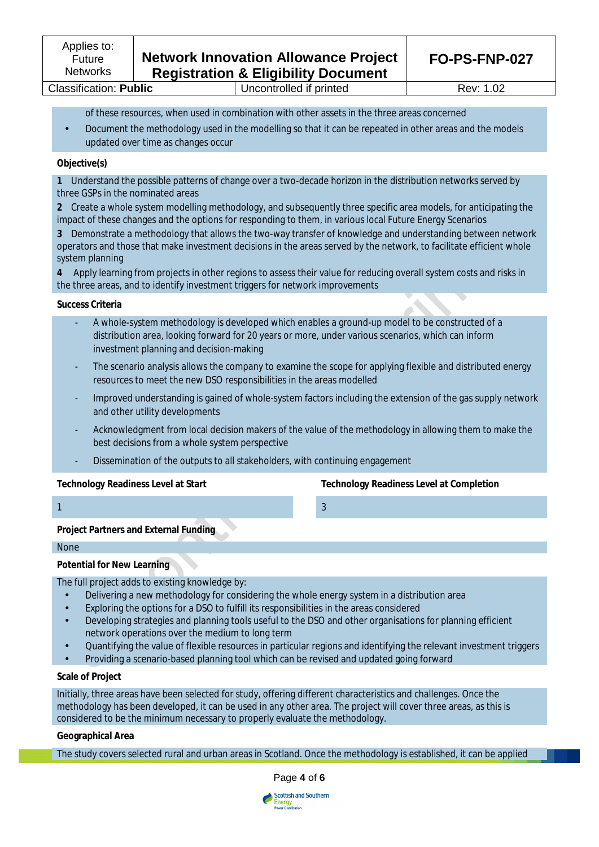of these resources, when used in combination with other assets in the three areas concerned

• Document the methodology used in the modelling so that it can be repeated in other areas and the models updated over time as changes occur

## **Objective(s)**

**1** Understand the possible patterns of change over a two-decade horizon in the distribution networks served by three GSPs in the nominated areas

**2** Create a whole system modelling methodology, and subsequently three specific area models, for anticipating the impact of these changes and the options for responding to them, in various local Future Energy Scenarios

**3** Demonstrate a methodology that allows the two-way transfer of knowledge and understanding between network operators and those that make investment decisions in the areas served by the network, to facilitate efficient whole system planning

**4** Apply learning from projects in other regions to assess their value for reducing overall system costs and risks in the three areas, and to identify investment triggers for network improvements

#### **Success Criteria**

- A whole-system methodology is developed which enables a ground-up model to be constructed of a distribution area, looking forward for 20 years or more, under various scenarios, which can inform investment planning and decision-making
- The scenario analysis allows the company to examine the scope for applying flexible and distributed energy resources to meet the new DSO responsibilities in the areas modelled
- Improved understanding is gained of whole-system factors including the extension of the gas supply network and other utility developments
- Acknowledgment from local decision makers of the value of the methodology in allowing them to make the best decisions from a whole system perspective
- Dissemination of the outputs to all stakeholders, with continuing engagement

# **Technology Readiness Level at Start Technology Readiness Level at Completion**

#### 1  $\sim$  3

**Project Partners and External Funding**

#### None

# **Potential for New Learning**

The full project adds to existing knowledge by:

- Delivering a new methodology for considering the whole energy system in a distribution area
- Exploring the options for a DSO to fulfill its responsibilities in the areas considered
- Developing strategies and planning tools useful to the DSO and other organisations for planning efficient network operations over the medium to long term
- Quantifying the value of flexible resources in particular regions and identifying the relevant investment triggers
- Providing a scenario-based planning tool which can be revised and updated going forward

### **Scale of Project**

Initially, three areas have been selected for study, offering different characteristics and challenges. Once the methodology has been developed, it can be used in any other area. The project will cover three areas, as this is considered to be the minimum necessary to properly evaluate the methodology.

#### **Geographical Area**

The study covers selected rural and urban areas in Scotland. Once the methodology is established, it can be applied



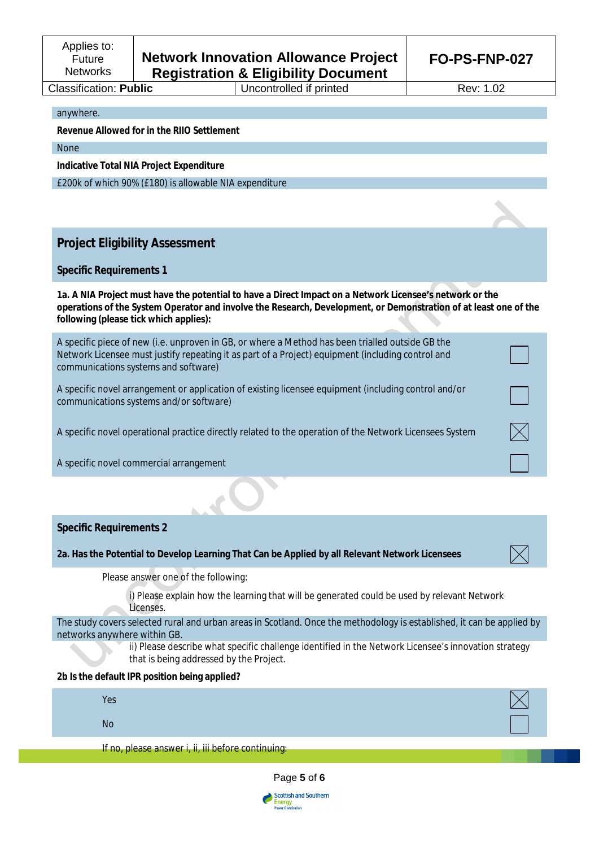#### anywhere.

**Revenue Allowed for in the RIIO Settlement** 

None

**Indicative Total NIA Project Expenditure**

£200k of which 90% (£180) is allowable NIA expenditure

# **Project Eligibility Assessment**

# **Specific Requirements 1**

**1a. A NIA Project must have the potential to have a Direct Impact on a Network Licensee's network or the operations of the System Operator and involve the Research, Development, or Demonstration of at least one of the following (please tick which applies):**

| A specific piece of new (i.e. unproven in GB, or where a Method has been trialled outside GB the<br>Network Licensee must justify repeating it as part of a Project) equipment (including control and<br>communications systems and software) |  |
|-----------------------------------------------------------------------------------------------------------------------------------------------------------------------------------------------------------------------------------------------|--|
| A specific novel arrangement or application of existing licensee equipment (including control and/or<br>communications systems and/or software)                                                                                               |  |
| A specific novel operational practice directly related to the operation of the Network Licensees System                                                                                                                                       |  |
| A specific novel commercial arrangement                                                                                                                                                                                                       |  |
|                                                                                                                                                                                                                                               |  |
| <b>Specific Requirements 2</b>                                                                                                                                                                                                                |  |
| 2a. Has the Potential to Develop Learning That Can be Applied by all Relevant Network Licensees                                                                                                                                               |  |
| Please answer one of the following:                                                                                                                                                                                                           |  |
| i) Please explain how the learning that will be generated could be used by relevant Network<br>Licenses.                                                                                                                                      |  |
| The study covers selected rural and urban areas in Scotland. Once the methodology is established, it can be applied by<br>networks anywhere within GB.                                                                                        |  |
| ii) Please describe what specific challenge identified in the Network Licensee's innovation strategy<br>that is being addressed by the Project.                                                                                               |  |
| 2b Is the default IPR position being applied?                                                                                                                                                                                                 |  |
| Yes                                                                                                                                                                                                                                           |  |
|                                                                                                                                                                                                                                               |  |
| <b>No</b>                                                                                                                                                                                                                                     |  |